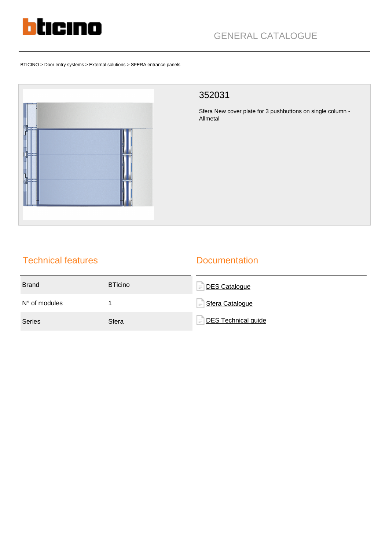

BTICINO > Door entry systems > External solutions > SFERA entrance panels



## 352031

Sfera New cover plate for 3 pushbuttons on single column - Allmetal

# Technical features

### **Documentation**

| <b>Brand</b>           | <b>BTicino</b> | <b>DES Cataloque</b><br>$\equiv$ |
|------------------------|----------------|----------------------------------|
| $N^{\circ}$ of modules |                | Sfera Catalogue<br>$\equiv$      |
| <b>Series</b>          | Sfera          | DES Technical guide<br>$\equiv$  |